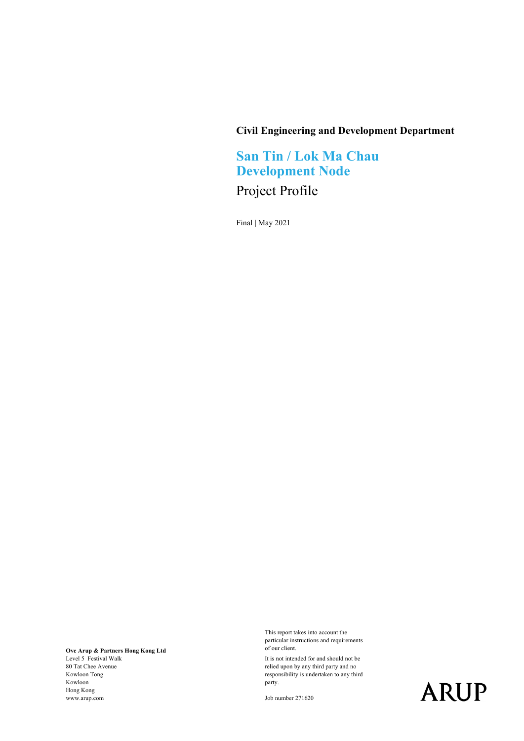#### **Civil Engineering and Development Department**

## **San Tin / Lok Ma Chau Development Node**

## Project Profile

Final | May 2021

**Ove Arup & Partners Hong Kong Ltd** Level 5 Festival Walk 80 Tat Chee Avenue Kowloon Tong Kowloon Hong Kong www.arup.com

This report takes into account the particular instructions and requirements of our client.

It is not intended for and should not be relied upon by any third party and no responsibility is undertaken to any third party.

Job number 271620

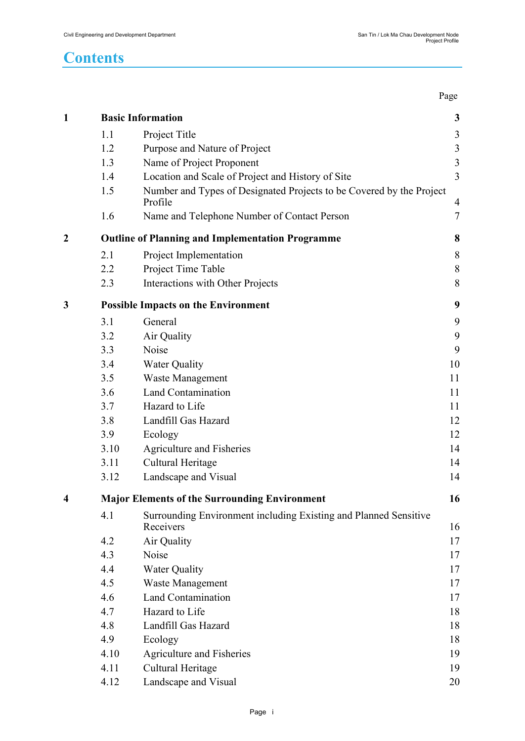Page **Page** 

| $\mathbf{1}$     |                                                            | <b>Basic Information</b>                                                        | $\mathbf{3}$   |
|------------------|------------------------------------------------------------|---------------------------------------------------------------------------------|----------------|
|                  | 1.1                                                        | Project Title                                                                   | $\mathfrak{Z}$ |
|                  | 1.2                                                        | Purpose and Nature of Project                                                   | $\mathfrak{Z}$ |
|                  | 1.3                                                        | Name of Project Proponent                                                       | $\overline{3}$ |
|                  | 1.4                                                        | Location and Scale of Project and History of Site                               | $\overline{3}$ |
|                  | 1.5                                                        | Number and Types of Designated Projects to be Covered by the Project<br>Profile | $\overline{4}$ |
|                  | 1.6                                                        | Name and Telephone Number of Contact Person                                     | 7              |
| $\boldsymbol{2}$ | <b>Outline of Planning and Implementation Programme</b>    |                                                                                 |                |
|                  | 2.1                                                        | Project Implementation                                                          | $8\,$          |
|                  | 2.2                                                        | Project Time Table                                                              | $\,8\,$        |
|                  | 2.3                                                        | Interactions with Other Projects                                                | 8              |
| 3                | <b>Possible Impacts on the Environment</b>                 |                                                                                 |                |
|                  | 3.1                                                        | General                                                                         | 9              |
|                  | 3.2                                                        | Air Quality                                                                     | 9              |
|                  | 3.3                                                        | Noise                                                                           | 9              |
|                  | 3.4                                                        | <b>Water Quality</b>                                                            | 10             |
|                  | 3.5                                                        | Waste Management                                                                | 11             |
|                  | 3.6                                                        | <b>Land Contamination</b>                                                       | 11             |
|                  | 3.7                                                        | Hazard to Life                                                                  | 11             |
|                  | 3.8                                                        | Landfill Gas Hazard                                                             | 12             |
|                  | 3.9                                                        | Ecology                                                                         | 12             |
|                  | 3.10                                                       | Agriculture and Fisheries                                                       | 14             |
|                  | 3.11                                                       | Cultural Heritage                                                               | 14             |
|                  | 3.12                                                       | Landscape and Visual                                                            | 14             |
| 4                | <b>Major Elements of the Surrounding Environment</b><br>16 |                                                                                 |                |
|                  | 4.1                                                        | Surrounding Environment including Existing and Planned Sensitive<br>Receivers   | 16             |
|                  | 4.2                                                        | Air Quality                                                                     | 17             |
|                  | 4.3                                                        | Noise                                                                           | 17             |
|                  | 4.4                                                        | <b>Water Quality</b>                                                            | 17             |
|                  | 4.5                                                        | <b>Waste Management</b>                                                         | 17             |
|                  | 4.6                                                        | <b>Land Contamination</b>                                                       | 17             |
|                  | 4.7                                                        | Hazard to Life                                                                  | 18             |
|                  | 4.8                                                        | Landfill Gas Hazard                                                             | 18             |
|                  | 4.9                                                        | Ecology                                                                         | 18             |
|                  | 4.10                                                       |                                                                                 | 19             |
|                  | 4.11                                                       | Agriculture and Fisheries<br>Cultural Heritage                                  | 19             |
|                  |                                                            |                                                                                 |                |
|                  | 4.12                                                       | Landscape and Visual                                                            | 20             |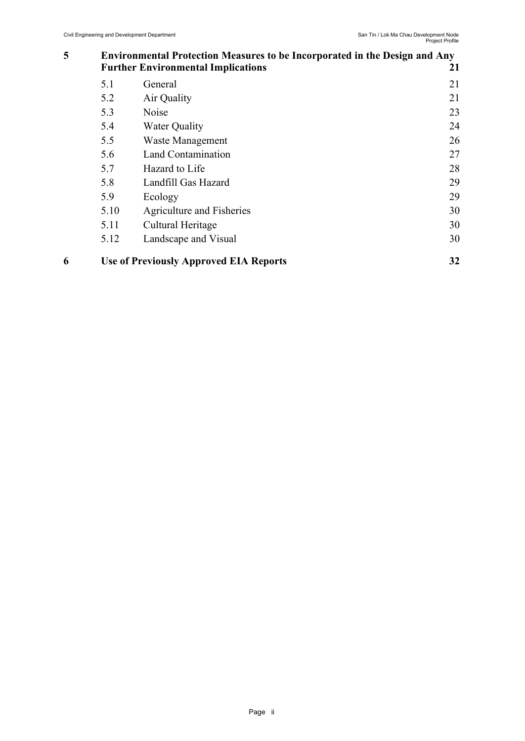#### **5 [Environmental Protection Measures to be Incorporated in the Design and Any](#page-21-0)  [Further Environmental Implications](#page-21-0) 21**

| 5.12 | Landscape and Visual      | 30 |
|------|---------------------------|----|
| 5.11 | Cultural Heritage         | 30 |
| 5.10 | Agriculture and Fisheries | 30 |
| 5.9  | Ecology                   | 29 |
| 5.8  | Landfill Gas Hazard       | 29 |
| 5.7  | Hazard to Life            | 28 |
| 5.6  | Land Contamination        | 27 |
| 5.5  | Waste Management          | 26 |
| 5.4  | <b>Water Quality</b>      | 24 |
| 5.3  | Noise                     | 23 |
| 5.2  | Air Quality               | 21 |
| 5.1  | General                   | 21 |
|      |                           |    |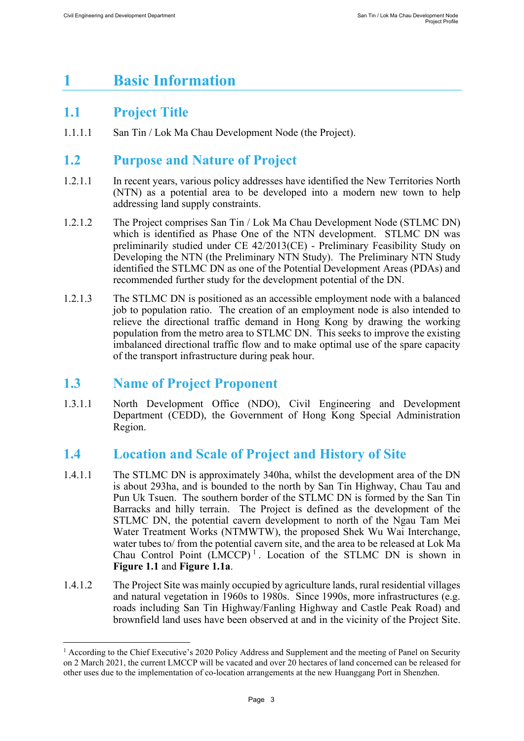# <span id="page-3-0"></span>**1 Basic Information**

### <span id="page-3-1"></span>**1.1 Project Title**

1.1.1.1 San Tin / Lok Ma Chau Development Node (the Project).

### <span id="page-3-2"></span>**1.2 Purpose and Nature of Project**

- 1.2.1.1 In recent years, various policy addresses have identified the New Territories North (NTN) as a potential area to be developed into a modern new town to help addressing land supply constraints.
- 1.2.1.2 The Project comprises San Tin / Lok Ma Chau Development Node (STLMC DN) which is identified as Phase One of the NTN development. STLMC DN was preliminarily studied under CE 42/2013(CE) - Preliminary Feasibility Study on Developing the NTN (the Preliminary NTN Study). The Preliminary NTN Study identified the STLMC DN as one of the Potential Development Areas (PDAs) and recommended further study for the development potential of the DN.
- 1.2.1.3 The STLMC DN is positioned as an accessible employment node with a balanced job to population ratio. The creation of an employment node is also intended to relieve the directional traffic demand in Hong Kong by drawing the working population from the metro area to STLMC DN. This seeks to improve the existing imbalanced directional traffic flow and to make optimal use of the spare capacity of the transport infrastructure during peak hour.

### <span id="page-3-3"></span>**1.3 Name of Project Proponent**

1.3.1.1 North Development Office (NDO), Civil Engineering and Development Department (CEDD), the Government of Hong Kong Special Administration Region.

### <span id="page-3-4"></span>**1.4 Location and Scale of Project and History of Site**

- 1.4.1.1 The STLMC DN is approximately 340ha, whilst the development area of the DN is about 293ha, and is bounded to the north by San Tin Highway, Chau Tau and Pun Uk Tsuen. The southern border of the STLMC DN is formed by the San Tin Barracks and hilly terrain. The Project is defined as the development of the STLMC DN, the potential cavern development to north of the Ngau Tam Mei Water Treatment Works (NTMWTW), the proposed Shek Wu Wai Interchange, water tubes to/ from the potential cavern site, and the area to be released at Lok Ma Chau Control Point  $(LMCCP)^1$  $(LMCCP)^1$ . Location of the STLMC DN is shown in **Figure 1.1** and **Figure 1.1a**.
- 1.4.1.2 The Project Site was mainly occupied by agriculture lands, rural residential villages and natural vegetation in 1960s to 1980s. Since 1990s, more infrastructures (e.g. roads including San Tin Highway/Fanling Highway and Castle Peak Road) and brownfield land uses have been observed at and in the vicinity of the Project Site.

<span id="page-3-5"></span><sup>&</sup>lt;sup>1</sup> According to the Chief Executive's 2020 Policy Address and Supplement and the meeting of Panel on Security on 2 March 2021, the current LMCCP will be vacated and over 20 hectares of land concerned can be released for other uses due to the implementation of co-location arrangements at the new Huanggang Port in Shenzhen.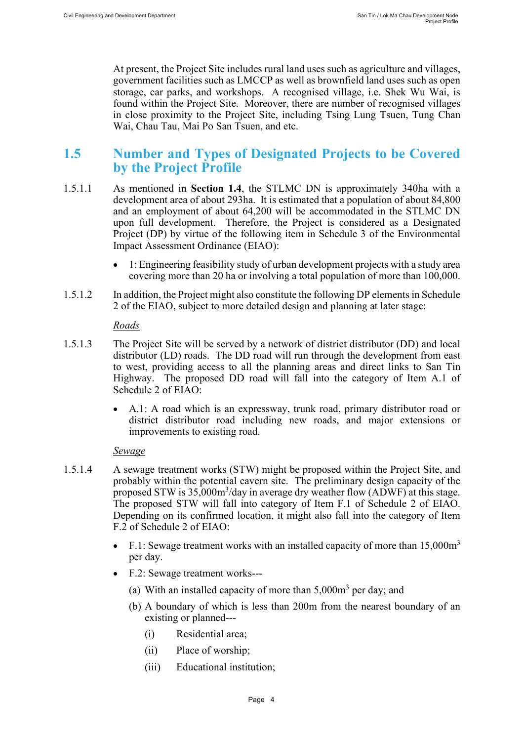At present, the Project Site includes rural land uses such as agriculture and villages, government facilities such as LMCCP as well as brownfield land uses such as open storage, car parks, and workshops. A recognised village, i.e. Shek Wu Wai, is found within the Project Site. Moreover, there are number of recognised villages in close proximity to the Project Site, including Tsing Lung Tsuen, Tung Chan Wai, Chau Tau, Mai Po San Tsuen, and etc.

### <span id="page-4-0"></span>**1.5 Number and Types of Designated Projects to be Covered by the Project Profile**

- 1.5.1.1 As mentioned in **Section 1.4**, the STLMC DN is approximately 340ha with a development area of about 293ha. It is estimated that a population of about 84,800 and an employment of about 64,200 will be accommodated in the STLMC DN upon full development. Therefore, the Project is considered as a Designated Project (DP) by virtue of the following item in Schedule 3 of the Environmental Impact Assessment Ordinance (EIAO):
	- 1: Engineering feasibility study of urban development projects with a study area covering more than 20 ha or involving a total population of more than 100,000.
- 1.5.1.2 In addition, the Project might also constitute the following DP elements in Schedule 2 of the EIAO, subject to more detailed design and planning at later stage:

#### *Roads*

- 1.5.1.3 The Project Site will be served by a network of district distributor (DD) and local distributor (LD) roads. The DD road will run through the development from east to west, providing access to all the planning areas and direct links to San Tin Highway. The proposed DD road will fall into the category of Item A.1 of Schedule 2 of EIAO:
	- A.1: A road which is an expressway, trunk road, primary distributor road or district distributor road including new roads, and major extensions or improvements to existing road.

#### *Sewage*

- 1.5.1.4 A sewage treatment works (STW) might be proposed within the Project Site, and probably within the potential cavern site. The preliminary design capacity of the proposed STW is  $35,000 \text{m}^3/\text{day}$  in average dry weather flow (ADWF) at this stage. The proposed STW will fall into category of Item F.1 of Schedule 2 of EIAO. Depending on its confirmed location, it might also fall into the category of Item F.2 of Schedule 2 of EIAO:
	- F.1: Sewage treatment works with an installed capacity of more than  $15,000m<sup>3</sup>$ per day.
	- F.2: Sewage treatment works---
		- (a) With an installed capacity of more than  $5,000m<sup>3</sup>$  per day; and
		- (b) A boundary of which is less than 200m from the nearest boundary of an existing or planned---
			- (i) Residential area;
			- (ii) Place of worship;
			- (iii) Educational institution;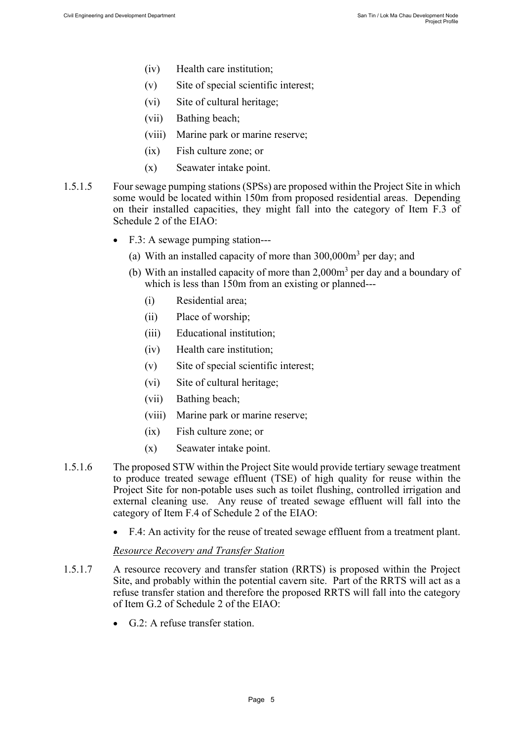- (iv) Health care institution;
- (v) Site of special scientific interest;
- (vi) Site of cultural heritage;
- (vii) Bathing beach;
- (viii) Marine park or marine reserve;
- (ix) Fish culture zone; or
- (x) Seawater intake point.
- 1.5.1.5 Four sewage pumping stations (SPSs) are proposed within the Project Site in which some would be located within 150m from proposed residential areas. Depending on their installed capacities, they might fall into the category of Item F.3 of Schedule 2 of the EIAO:
	- F.3: A sewage pumping station---
		- (a) With an installed capacity of more than  $300,000\,\text{m}^3$  per day; and
		- (b) With an installed capacity of more than  $2,000m<sup>3</sup>$  per day and a boundary of which is less than 150m from an existing or planned---
			- (i) Residential area;
			- (ii) Place of worship;
			- (iii) Educational institution;
			- (iv) Health care institution;
			- (v) Site of special scientific interest;
			- (vi) Site of cultural heritage;
			- (vii) Bathing beach;
			- (viii) Marine park or marine reserve;
			- (ix) Fish culture zone; or
			- (x) Seawater intake point.
- 1.5.1.6 The proposed STW within the Project Site would provide tertiary sewage treatment to produce treated sewage effluent (TSE) of high quality for reuse within the Project Site for non-potable uses such as toilet flushing, controlled irrigation and external cleaning use. Any reuse of treated sewage effluent will fall into the category of Item F.4 of Schedule 2 of the EIAO:
	- F.4: An activity for the reuse of treated sewage effluent from a treatment plant.

#### *Resource Recovery and Transfer Station*

- 1.5.1.7 A resource recovery and transfer station (RRTS) is proposed within the Project Site, and probably within the potential cavern site. Part of the RRTS will act as a refuse transfer station and therefore the proposed RRTS will fall into the category of Item G.2 of Schedule 2 of the EIAO:
	- G.2: A refuse transfer station.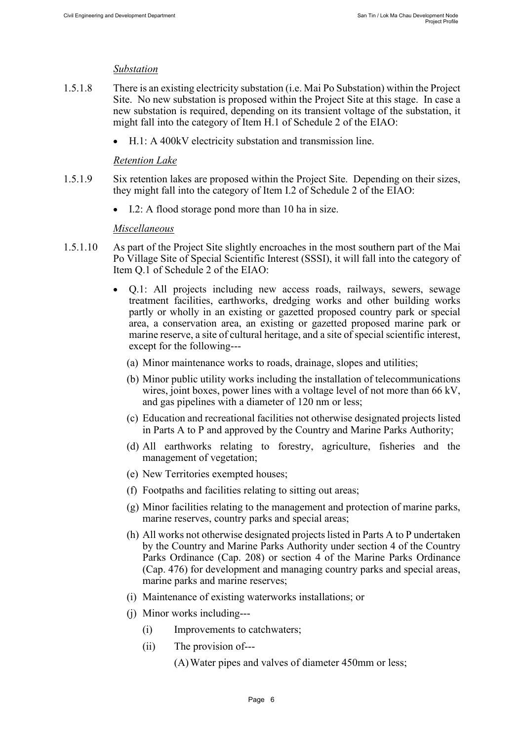#### *Substation*

- 1.5.1.8 There is an existing electricity substation (i.e. Mai Po Substation) within the Project Site. No new substation is proposed within the Project Site at this stage. In case a new substation is required, depending on its transient voltage of the substation, it might fall into the category of Item H.1 of Schedule 2 of the EIAO:
	- H.1: A 400kV electricity substation and transmission line.

#### *Retention Lake*

- 1.5.1.9 Six retention lakes are proposed within the Project Site. Depending on their sizes, they might fall into the category of Item I.2 of Schedule 2 of the EIAO:
	- I.2: A flood storage pond more than 10 ha in size.

#### *Miscellaneous*

- 1.5.1.10 As part of the Project Site slightly encroaches in the most southern part of the Mai Po Village Site of Special Scientific Interest (SSSI), it will fall into the category of Item Q.1 of Schedule 2 of the EIAO:
	- Q.1: All projects including new access roads, railways, sewers, sewage treatment facilities, earthworks, dredging works and other building works partly or wholly in an existing or gazetted proposed country park or special area, a conservation area, an existing or gazetted proposed marine park or marine reserve, a site of cultural heritage, and a site of special scientific interest, except for the following---
		- (a) Minor maintenance works to roads, drainage, slopes and utilities;
		- (b) Minor public utility works including the installation of telecommunications wires, joint boxes, power lines with a voltage level of not more than 66 kV, and gas pipelines with a diameter of 120 nm or less;
		- (c) Education and recreational facilities not otherwise designated projects listed in Parts A to P and approved by the Country and Marine Parks Authority;
		- (d) All earthworks relating to forestry, agriculture, fisheries and the management of vegetation;
		- (e) New Territories exempted houses;
		- (f) Footpaths and facilities relating to sitting out areas;
		- (g) Minor facilities relating to the management and protection of marine parks, marine reserves, country parks and special areas;
		- (h) All works not otherwise designated projects listed in Parts A to P undertaken by the Country and Marine Parks Authority under section 4 of the Country Parks Ordinance (Cap. 208) or section 4 of the Marine Parks Ordinance (Cap. 476) for development and managing country parks and special areas, marine parks and marine reserves;
		- (i) Maintenance of existing waterworks installations; or
		- (j) Minor works including---
			- (i) Improvements to catchwaters;
			- (ii) The provision of---
				- (A)Water pipes and valves of diameter 450mm or less;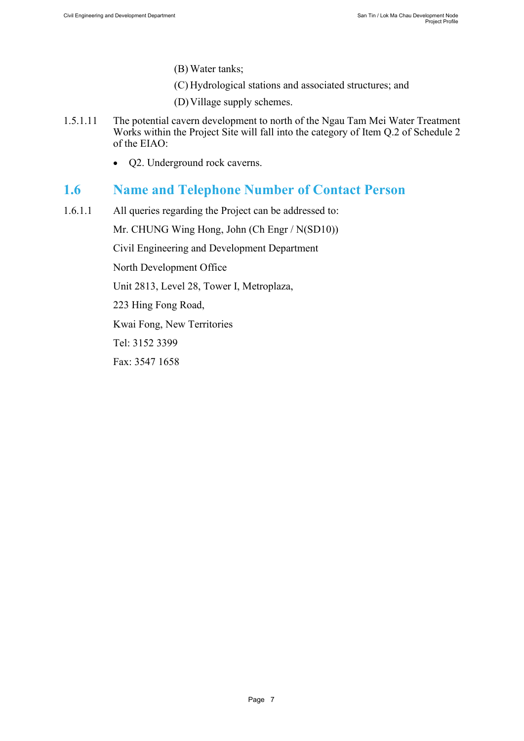- (B) Water tanks;
- (C) Hydrological stations and associated structures; and
- (D)Village supply schemes.
- 1.5.1.11 The potential cavern development to north of the Ngau Tam Mei Water Treatment Works within the Project Site will fall into the category of Item Q.2 of Schedule 2 of the EIAO:
	- Q2. Underground rock caverns.

### <span id="page-7-0"></span>**1.6 Name and Telephone Number of Contact Person**

1.6.1.1 All queries regarding the Project can be addressed to:

Mr. CHUNG Wing Hong, John (Ch Engr / N(SD10))

Civil Engineering and Development Department

North Development Office

Unit 2813, Level 28, Tower I, Metroplaza,

223 Hing Fong Road,

Kwai Fong, New Territories

Tel: 3152 3399

Fax: 3547 1658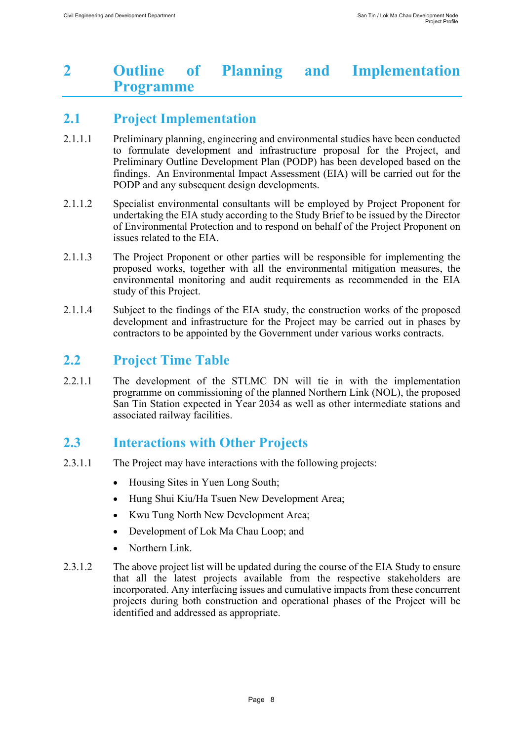## <span id="page-8-0"></span>**2 Outline of Planning and Implementation Programme**

## <span id="page-8-1"></span>**2.1 Project Implementation**

- 2.1.1.1 Preliminary planning, engineering and environmental studies have been conducted to formulate development and infrastructure proposal for the Project, and Preliminary Outline Development Plan (PODP) has been developed based on the findings. An Environmental Impact Assessment (EIA) will be carried out for the PODP and any subsequent design developments.
- 2.1.1.2 Specialist environmental consultants will be employed by Project Proponent for undertaking the EIA study according to the Study Brief to be issued by the Director of Environmental Protection and to respond on behalf of the Project Proponent on issues related to the EIA.
- 2.1.1.3 The Project Proponent or other parties will be responsible for implementing the proposed works, together with all the environmental mitigation measures, the environmental monitoring and audit requirements as recommended in the EIA study of this Project.
- 2.1.1.4 Subject to the findings of the EIA study, the construction works of the proposed development and infrastructure for the Project may be carried out in phases by contractors to be appointed by the Government under various works contracts.

### <span id="page-8-2"></span>**2.2 Project Time Table**

2.2.1.1 The development of the STLMC DN will tie in with the implementation programme on commissioning of the planned Northern Link (NOL), the proposed San Tin Station expected in Year 2034 as well as other intermediate stations and associated railway facilities.

## <span id="page-8-3"></span>**2.3 Interactions with Other Projects**

- 2.3.1.1 The Project may have interactions with the following projects:
	- Housing Sites in Yuen Long South;
	- Hung Shui Kiu/Ha Tsuen New Development Area;
	- Kwu Tung North New Development Area;
	- Development of Lok Ma Chau Loop; and
	- Northern Link.
- 2.3.1.2 The above project list will be updated during the course of the EIA Study to ensure that all the latest projects available from the respective stakeholders are incorporated. Any interfacing issues and cumulative impacts from these concurrent projects during both construction and operational phases of the Project will be identified and addressed as appropriate.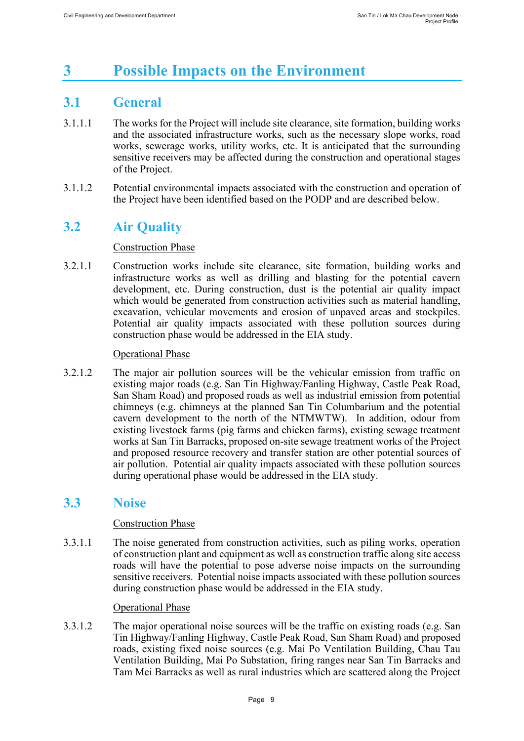# <span id="page-9-0"></span>**3 Possible Impacts on the Environment**

## <span id="page-9-1"></span>**3.1 General**

- 3.1.1.1 The works for the Project will include site clearance, site formation, building works and the associated infrastructure works, such as the necessary slope works, road works, sewerage works, utility works, etc. It is anticipated that the surrounding sensitive receivers may be affected during the construction and operational stages of the Project.
- 3.1.1.2 Potential environmental impacts associated with the construction and operation of the Project have been identified based on the PODP and are described below.

## <span id="page-9-2"></span>**3.2 Air Quality**

#### Construction Phase

3.2.1.1 Construction works include site clearance, site formation, building works and infrastructure works as well as drilling and blasting for the potential cavern development, etc. During construction, dust is the potential air quality impact which would be generated from construction activities such as material handling, excavation, vehicular movements and erosion of unpaved areas and stockpiles. Potential air quality impacts associated with these pollution sources during construction phase would be addressed in the EIA study.

#### Operational Phase

3.2.1.2 The major air pollution sources will be the vehicular emission from traffic on existing major roads (e.g. San Tin Highway/Fanling Highway, Castle Peak Road, San Sham Road) and proposed roads as well as industrial emission from potential chimneys (e.g. chimneys at the planned San Tin Columbarium and the potential cavern development to the north of the NTMWTW). In addition, odour from existing livestock farms (pig farms and chicken farms), existing sewage treatment works at San Tin Barracks, proposed on-site sewage treatment works of the Project and proposed resource recovery and transfer station are other potential sources of air pollution. Potential air quality impacts associated with these pollution sources during operational phase would be addressed in the EIA study.

### <span id="page-9-3"></span>**3.3 Noise**

#### Construction Phase

3.3.1.1 The noise generated from construction activities, such as piling works, operation of construction plant and equipment as well as construction traffic along site access roads will have the potential to pose adverse noise impacts on the surrounding sensitive receivers. Potential noise impacts associated with these pollution sources during construction phase would be addressed in the EIA study.

#### **Operational Phase**

3.3.1.2 The major operational noise sources will be the traffic on existing roads (e.g. San Tin Highway/Fanling Highway, Castle Peak Road, San Sham Road) and proposed roads, existing fixed noise sources (e.g. Mai Po Ventilation Building, Chau Tau Ventilation Building, Mai Po Substation, firing ranges near San Tin Barracks and Tam Mei Barracks as well as rural industries which are scattered along the Project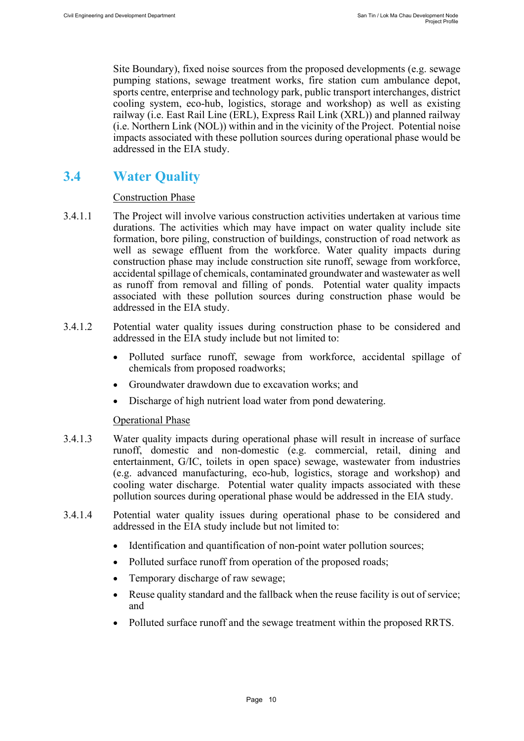Site Boundary), fixed noise sources from the proposed developments (e.g. sewage pumping stations, sewage treatment works, fire station cum ambulance depot, sports centre, enterprise and technology park, public transport interchanges, district cooling system, eco-hub, logistics, storage and workshop) as well as existing railway (i.e. East Rail Line (ERL), Express Rail Link (XRL)) and planned railway (i.e. Northern Link (NOL)) within and in the vicinity of the Project. Potential noise impacts associated with these pollution sources during operational phase would be addressed in the EIA study.

## <span id="page-10-0"></span>**3.4 Water Quality**

#### Construction Phase

- 3.4.1.1 The Project will involve various construction activities undertaken at various time durations. The activities which may have impact on water quality include site formation, bore piling, construction of buildings, construction of road network as well as sewage effluent from the workforce. Water quality impacts during construction phase may include construction site runoff, sewage from workforce, accidental spillage of chemicals, contaminated groundwater and wastewater as well as runoff from removal and filling of ponds. Potential water quality impacts associated with these pollution sources during construction phase would be addressed in the EIA study.
- 3.4.1.2 Potential water quality issues during construction phase to be considered and addressed in the EIA study include but not limited to:
	- Polluted surface runoff, sewage from workforce, accidental spillage of chemicals from proposed roadworks;
	- Groundwater drawdown due to excavation works; and
	- Discharge of high nutrient load water from pond dewatering.

#### Operational Phase

- 3.4.1.3 Water quality impacts during operational phase will result in increase of surface runoff, domestic and non-domestic (e.g. commercial, retail, dining and entertainment, G/IC, toilets in open space) sewage, wastewater from industries (e.g. advanced manufacturing, eco-hub, logistics, storage and workshop) and cooling water discharge. Potential water quality impacts associated with these pollution sources during operational phase would be addressed in the EIA study.
- 3.4.1.4 Potential water quality issues during operational phase to be considered and addressed in the EIA study include but not limited to:
	- Identification and quantification of non-point water pollution sources;
	- Polluted surface runoff from operation of the proposed roads;
	- Temporary discharge of raw sewage;
	- Reuse quality standard and the fallback when the reuse facility is out of service; and
	- Polluted surface runoff and the sewage treatment within the proposed RRTS.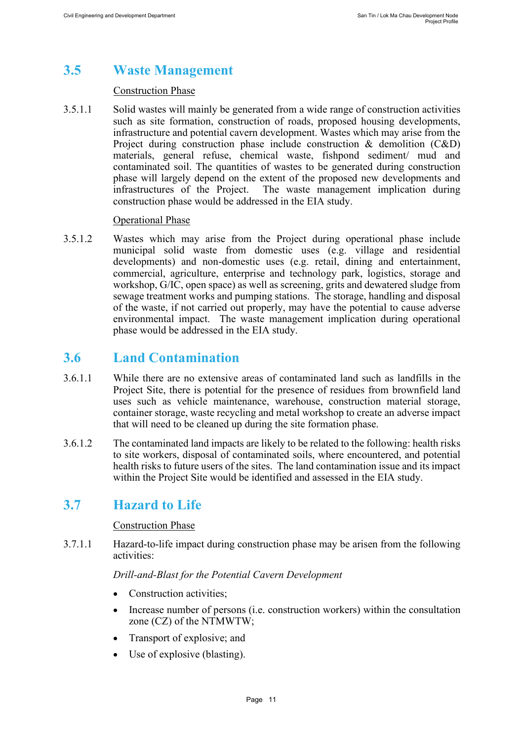# <span id="page-11-0"></span>**3.5 Waste Management**

#### Construction Phase

3.5.1.1 Solid wastes will mainly be generated from a wide range of construction activities such as site formation, construction of roads, proposed housing developments, infrastructure and potential cavern development. Wastes which may arise from the Project during construction phase include construction  $\&$  demolition (C&D) materials, general refuse, chemical waste, fishpond sediment/ mud and contaminated soil. The quantities of wastes to be generated during construction phase will largely depend on the extent of the proposed new developments and infrastructures of the Project. The waste management implication during The waste management implication during. construction phase would be addressed in the EIA study.

#### Operational Phase

3.5.1.2 Wastes which may arise from the Project during operational phase include municipal solid waste from domestic uses (e.g. village and residential developments) and non-domestic uses (e.g. retail, dining and entertainment, commercial, agriculture, enterprise and technology park, logistics, storage and workshop, G/IC, open space) as well as screening, grits and dewatered sludge from sewage treatment works and pumping stations. The storage, handling and disposal of the waste, if not carried out properly, may have the potential to cause adverse environmental impact. The waste management implication during operational phase would be addressed in the EIA study.

### <span id="page-11-1"></span>**3.6 Land Contamination**

- 3.6.1.1 While there are no extensive areas of contaminated land such as landfills in the Project Site, there is potential for the presence of residues from brownfield land uses such as vehicle maintenance, warehouse, construction material storage, container storage, waste recycling and metal workshop to create an adverse impact that will need to be cleaned up during the site formation phase.
- 3.6.1.2 The contaminated land impacts are likely to be related to the following: health risks to site workers, disposal of contaminated soils, where encountered, and potential health risks to future users of the sites. The land contamination issue and its impact within the Project Site would be identified and assessed in the EIA study.

### <span id="page-11-2"></span>**3.7 Hazard to Life**

#### Construction Phase

3.7.1.1 Hazard-to-life impact during construction phase may be arisen from the following activities:

*Drill-and-Blast for the Potential Cavern Development*

- Construction activities:
- Increase number of persons (i.e. construction workers) within the consultation zone (CZ) of the NTMWTW;
- Transport of explosive; and
- Use of explosive (blasting).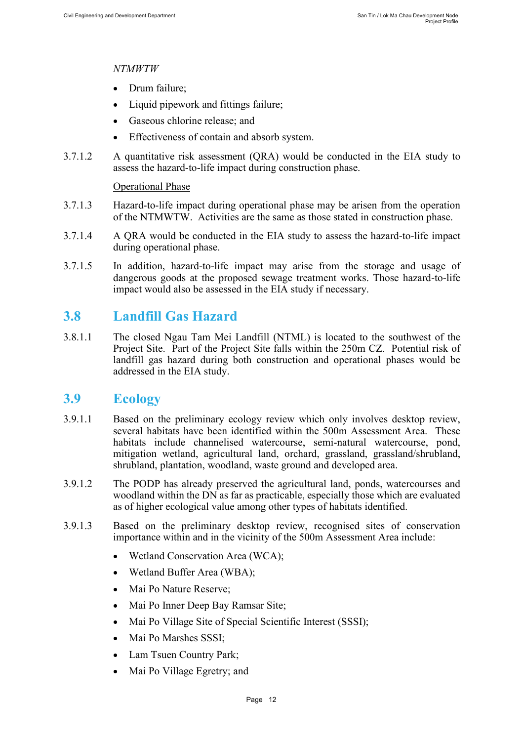#### *NTMWTW*

- Drum failure;
- Liquid pipework and fittings failure;
- Gaseous chlorine release; and
- Effectiveness of contain and absorb system.
- 3.7.1.2 A quantitative risk assessment (QRA) would be conducted in the EIA study to assess the hazard-to-life impact during construction phase.

#### Operational Phase

- 3.7.1.3 Hazard-to-life impact during operational phase may be arisen from the operation of the NTMWTW. Activities are the same as those stated in construction phase.
- 3.7.1.4 A QRA would be conducted in the EIA study to assess the hazard-to-life impact during operational phase.
- 3.7.1.5 In addition, hazard-to-life impact may arise from the storage and usage of dangerous goods at the proposed sewage treatment works. Those hazard-to-life impact would also be assessed in the EIA study if necessary.

### <span id="page-12-0"></span>**3.8 Landfill Gas Hazard**

3.8.1.1 The closed Ngau Tam Mei Landfill (NTML) is located to the southwest of the Project Site. Part of the Project Site falls within the 250m CZ. Potential risk of landfill gas hazard during both construction and operational phases would be addressed in the EIA study.

### <span id="page-12-1"></span>**3.9 Ecology**

- 3.9.1.1 Based on the preliminary ecology review which only involves desktop review, several habitats have been identified within the 500m Assessment Area. These habitats include channelised watercourse, semi-natural watercourse, pond, mitigation wetland, agricultural land, orchard, grassland, grassland/shrubland, shrubland, plantation, woodland, waste ground and developed area.
- 3.9.1.2 The PODP has already preserved the agricultural land, ponds, watercourses and woodland within the DN as far as practicable, especially those which are evaluated as of higher ecological value among other types of habitats identified.
- 3.9.1.3 Based on the preliminary desktop review, recognised sites of conservation importance within and in the vicinity of the 500m Assessment Area include:
	- Wetland Conservation Area (WCA);
	- Wetland Buffer Area (WBA);
	- Mai Po Nature Reserve;
	- Mai Po Inner Deep Bay Ramsar Site;
	- Mai Po Village Site of Special Scientific Interest (SSSI);
	- Mai Po Marshes SSSI;
	- Lam Tsuen Country Park;
	- Mai Po Village Egretry; and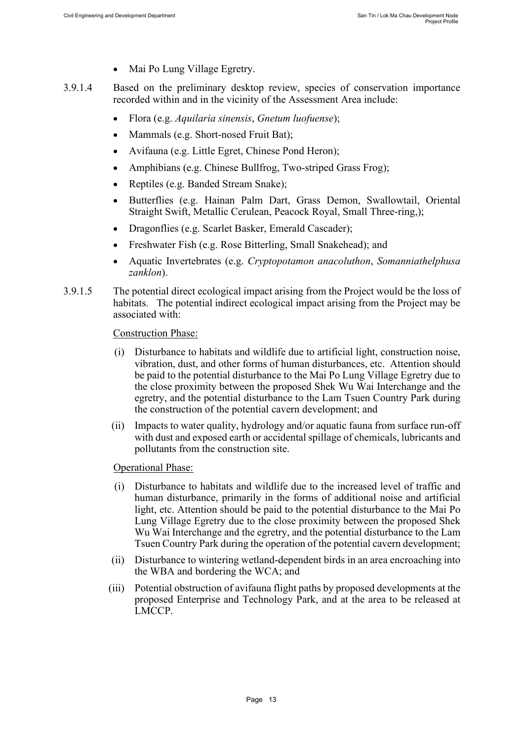- Mai Po Lung Village Egretry.
- 3.9.1.4 Based on the preliminary desktop review, species of conservation importance recorded within and in the vicinity of the Assessment Area include:
	- Flora (e.g. *Aquilaria sinensis*, *Gnetum luofuense*);
	- Mammals (e.g. Short-nosed Fruit Bat);
	- Avifauna (e.g. Little Egret, Chinese Pond Heron);
	- Amphibians (e.g. Chinese Bullfrog, Two-striped Grass Frog);
	- Reptiles (e.g. Banded Stream Snake);
	- Butterflies (e.g. Hainan Palm Dart, Grass Demon, Swallowtail, Oriental Straight Swift, Metallic Cerulean, Peacock Royal, Small Three-ring,);
	- Dragonflies (e.g. Scarlet Basker, Emerald Cascader);
	- Freshwater Fish (e.g. Rose Bitterling, Small Snakehead); and
	- Aquatic Invertebrates (e.g. *Cryptopotamon anacoluthon*, *Somanniathelphusa zanklon*).
- 3.9.1.5 The potential direct ecological impact arising from the Project would be the loss of habitats. The potential indirect ecological impact arising from the Project may be associated with:

Construction Phase:

- (i) Disturbance to habitats and wildlife due to artificial light, construction noise, vibration, dust, and other forms of human disturbances, etc. Attention should be paid to the potential disturbance to the Mai Po Lung Village Egretry due to the close proximity between the proposed Shek Wu Wai Interchange and the egretry, and the potential disturbance to the Lam Tsuen Country Park during the construction of the potential cavern development; and
- (ii) Impacts to water quality, hydrology and/or aquatic fauna from surface run-off with dust and exposed earth or accidental spillage of chemicals, lubricants and pollutants from the construction site.

Operational Phase:

- (i) Disturbance to habitats and wildlife due to the increased level of traffic and human disturbance, primarily in the forms of additional noise and artificial light, etc. Attention should be paid to the potential disturbance to the Mai Po Lung Village Egretry due to the close proximity between the proposed Shek Wu Wai Interchange and the egretry, and the potential disturbance to the Lam Tsuen Country Park during the operation of the potential cavern development;
- (ii) Disturbance to wintering wetland-dependent birds in an area encroaching into the WBA and bordering the WCA; and
- (iii) Potential obstruction of avifauna flight paths by proposed developments at the proposed Enterprise and Technology Park, and at the area to be released at LMCCP.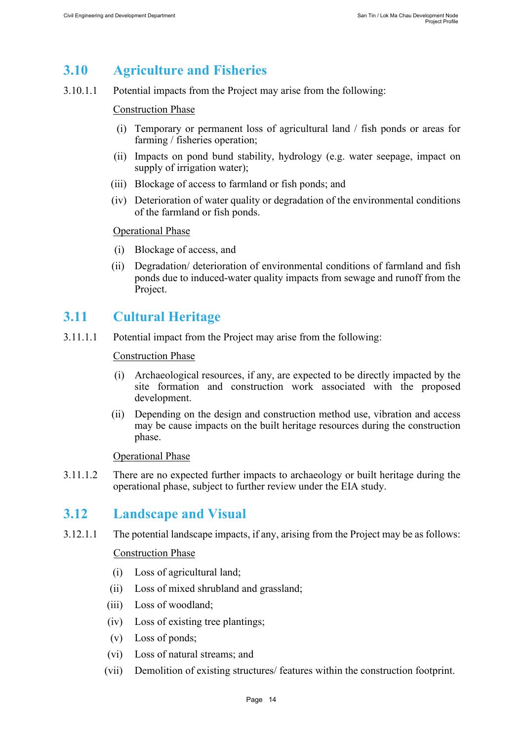## <span id="page-14-0"></span>**3.10 Agriculture and Fisheries**

3.10.1.1 Potential impacts from the Project may arise from the following:

#### Construction Phase

- (i) Temporary or permanent loss of agricultural land / fish ponds or areas for farming / fisheries operation;
- (ii) Impacts on pond bund stability, hydrology (e.g. water seepage, impact on supply of irrigation water);
- (iii) Blockage of access to farmland or fish ponds; and
- (iv) Deterioration of water quality or degradation of the environmental conditions of the farmland or fish ponds.

#### Operational Phase

- (i) Blockage of access, and
- (ii) Degradation/ deterioration of environmental conditions of farmland and fish ponds due to induced-water quality impacts from sewage and runoff from the Project.

### <span id="page-14-1"></span>**3.11 Cultural Heritage**

3.11.1.1 Potential impact from the Project may arise from the following:

#### Construction Phase

- (i) Archaeological resources, if any, are expected to be directly impacted by the site formation and construction work associated with the proposed development.
- (ii) Depending on the design and construction method use, vibration and access may be cause impacts on the built heritage resources during the construction phase.

#### Operational Phase

3.11.1.2 There are no expected further impacts to archaeology or built heritage during the operational phase, subject to further review under the EIA study.

### <span id="page-14-2"></span>**3.12 Landscape and Visual**

3.12.1.1 The potential landscape impacts, if any, arising from the Project may be as follows:

#### Construction Phase

- (i) Loss of agricultural land;
- (ii) Loss of mixed shrubland and grassland;
- (iii) Loss of woodland;
- (iv) Loss of existing tree plantings;
- (v) Loss of ponds;
- (vi) Loss of natural streams; and
- (vii) Demolition of existing structures/ features within the construction footprint.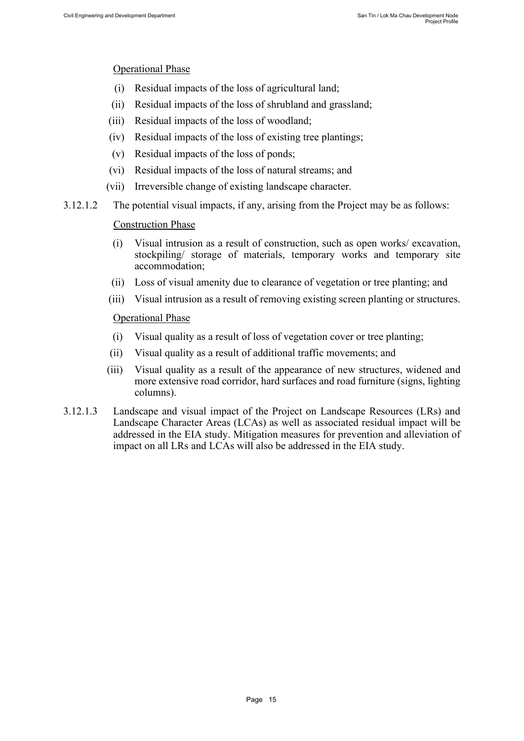#### Operational Phase

- (i) Residual impacts of the loss of agricultural land;
- (ii) Residual impacts of the loss of shrubland and grassland;
- (iii) Residual impacts of the loss of woodland;
- (iv) Residual impacts of the loss of existing tree plantings;
- (v) Residual impacts of the loss of ponds;
- (vi) Residual impacts of the loss of natural streams; and
- (vii) Irreversible change of existing landscape character.
- 3.12.1.2 The potential visual impacts, if any, arising from the Project may be as follows:

#### Construction Phase

- (i) Visual intrusion as a result of construction, such as open works/ excavation, stockpiling/ storage of materials, temporary works and temporary site accommodation;
- (ii) Loss of visual amenity due to clearance of vegetation or tree planting; and
- (iii) Visual intrusion as a result of removing existing screen planting or structures.

#### Operational Phase

- (i) Visual quality as a result of loss of vegetation cover or tree planting;
- (ii) Visual quality as a result of additional traffic movements; and
- (iii) Visual quality as a result of the appearance of new structures, widened and more extensive road corridor, hard surfaces and road furniture (signs, lighting columns).
- 3.12.1.3 Landscape and visual impact of the Project on Landscape Resources (LRs) and Landscape Character Areas (LCAs) as well as associated residual impact will be addressed in the EIA study. Mitigation measures for prevention and alleviation of impact on all LRs and LCAs will also be addressed in the EIA study.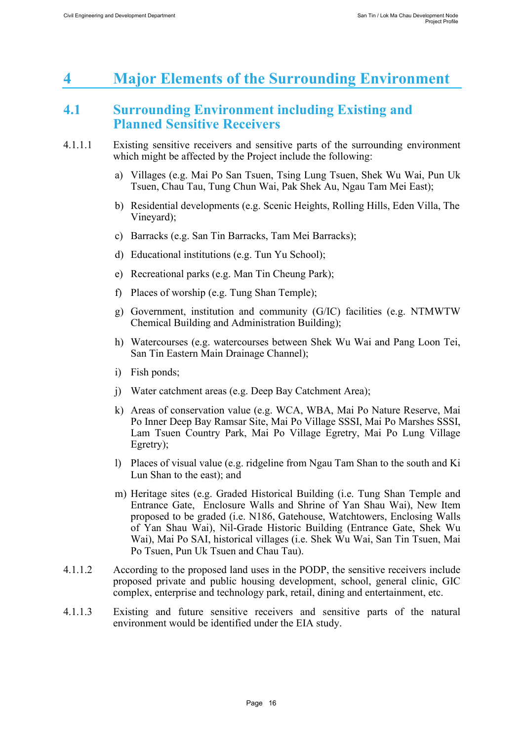# <span id="page-16-0"></span>**4 Major Elements of the Surrounding Environment**

### <span id="page-16-1"></span>**4.1 Surrounding Environment including Existing and Planned Sensitive Receivers**

- 4.1.1.1 Existing sensitive receivers and sensitive parts of the surrounding environment which might be affected by the Project include the following:
	- a) Villages (e.g. Mai Po San Tsuen, Tsing Lung Tsuen, Shek Wu Wai, Pun Uk Tsuen, Chau Tau, Tung Chun Wai, Pak Shek Au, Ngau Tam Mei East);
	- b) Residential developments (e.g. Scenic Heights, Rolling Hills, Eden Villa, The Vineyard);
	- c) Barracks (e.g. San Tin Barracks, Tam Mei Barracks);
	- d) Educational institutions (e.g. Tun Yu School);
	- e) Recreational parks (e.g. Man Tin Cheung Park);
	- f) Places of worship (e.g. Tung Shan Temple);
	- g) Government, institution and community (G/IC) facilities (e.g. NTMWTW Chemical Building and Administration Building);
	- h) Watercourses (e.g. watercourses between Shek Wu Wai and Pang Loon Tei, San Tin Eastern Main Drainage Channel);
	- i) Fish ponds;
	- j) Water catchment areas (e.g. Deep Bay Catchment Area);
	- k) Areas of conservation value (e.g. WCA, WBA, Mai Po Nature Reserve, Mai Po Inner Deep Bay Ramsar Site, Mai Po Village SSSI, Mai Po Marshes SSSI, Lam Tsuen Country Park, Mai Po Village Egretry, Mai Po Lung Village Egretry);
	- l) Places of visual value (e.g. ridgeline from Ngau Tam Shan to the south and Ki Lun Shan to the east); and
	- m) Heritage sites (e.g. Graded Historical Building (i.e. Tung Shan Temple and Entrance Gate, Enclosure Walls and Shrine of Yan Shau Wai), New Item proposed to be graded (i.e. N186, Gatehouse, Watchtowers, Enclosing Walls of Yan Shau Wai), Nil-Grade Historic Building (Entrance Gate, Shek Wu Wai), Mai Po SAI, historical villages (i.e. Shek Wu Wai, San Tin Tsuen, Mai Po Tsuen, Pun Uk Tsuen and Chau Tau).
- 4.1.1.2 According to the proposed land uses in the PODP, the sensitive receivers include proposed private and public housing development, school, general clinic, GIC complex, enterprise and technology park, retail, dining and entertainment, etc.
- 4.1.1.3 Existing and future sensitive receivers and sensitive parts of the natural environment would be identified under the EIA study.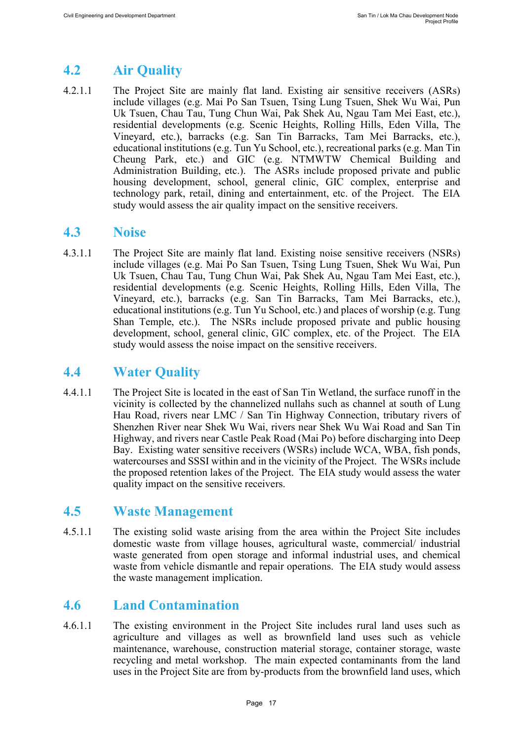# <span id="page-17-0"></span>**4.2 Air Quality**

4.2.1.1 The Project Site are mainly flat land. Existing air sensitive receivers (ASRs) include villages (e.g. Mai Po San Tsuen, Tsing Lung Tsuen, Shek Wu Wai, Pun Uk Tsuen, Chau Tau, Tung Chun Wai, Pak Shek Au, Ngau Tam Mei East, etc.), residential developments (e.g. Scenic Heights, Rolling Hills, Eden Villa, The Vineyard, etc.), barracks (e.g. San Tin Barracks, Tam Mei Barracks, etc.), educational institutions (e.g. Tun Yu School, etc.), recreational parks (e.g. Man Tin Cheung Park, etc.) and GIC (e.g. NTMWTW Chemical Building and Administration Building, etc.). The ASRs include proposed private and public housing development, school, general clinic, GIC complex, enterprise and technology park, retail, dining and entertainment, etc. of the Project. The EIA study would assess the air quality impact on the sensitive receivers.

## <span id="page-17-1"></span>**4.3 Noise**

4.3.1.1 The Project Site are mainly flat land. Existing noise sensitive receivers (NSRs) include villages (e.g. Mai Po San Tsuen, Tsing Lung Tsuen, Shek Wu Wai, Pun Uk Tsuen, Chau Tau, Tung Chun Wai, Pak Shek Au, Ngau Tam Mei East, etc.), residential developments (e.g. Scenic Heights, Rolling Hills, Eden Villa, The Vineyard, etc.), barracks (e.g. San Tin Barracks, Tam Mei Barracks, etc.), educational institutions (e.g. Tun Yu School, etc.) and places of worship (e.g. Tung Shan Temple, etc.). The NSRs include proposed private and public housing development, school, general clinic, GIC complex, etc. of the Project. The EIA study would assess the noise impact on the sensitive receivers.

## <span id="page-17-2"></span>**4.4 Water Quality**

4.4.1.1 The Project Site is located in the east of San Tin Wetland, the surface runoff in the vicinity is collected by the channelized nullahs such as channel at south of Lung Hau Road, rivers near LMC / San Tin Highway Connection, tributary rivers of Shenzhen River near Shek Wu Wai, rivers near Shek Wu Wai Road and San Tin Highway, and rivers near Castle Peak Road (Mai Po) before discharging into Deep Bay. Existing water sensitive receivers (WSRs) include WCA, WBA, fish ponds, watercourses and SSSI within and in the vicinity of the Project. The WSRs include the proposed retention lakes of the Project. The EIA study would assess the water quality impact on the sensitive receivers.

## <span id="page-17-3"></span>**4.5 Waste Management**

4.5.1.1 The existing solid waste arising from the area within the Project Site includes domestic waste from village houses, agricultural waste, commercial/ industrial waste generated from open storage and informal industrial uses, and chemical waste from vehicle dismantle and repair operations. The EIA study would assess the waste management implication.

## <span id="page-17-4"></span>**4.6 Land Contamination**

4.6.1.1 The existing environment in the Project Site includes rural land uses such as agriculture and villages as well as brownfield land uses such as vehicle maintenance, warehouse, construction material storage, container storage, waste recycling and metal workshop. The main expected contaminants from the land uses in the Project Site are from by-products from the brownfield land uses, which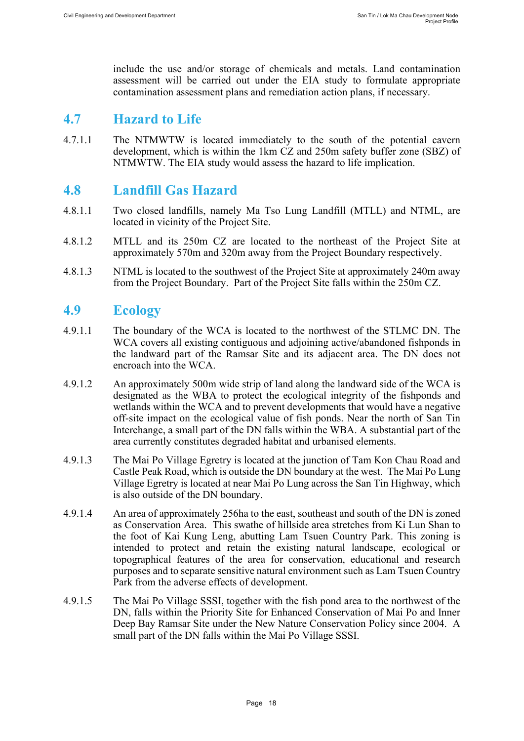include the use and/or storage of chemicals and metals. Land contamination assessment will be carried out under the EIA study to formulate appropriate contamination assessment plans and remediation action plans, if necessary.

### <span id="page-18-0"></span>**4.7 Hazard to Life**

4.7.1.1 The NTMWTW is located immediately to the south of the potential cavern development, which is within the 1km CZ and 250m safety buffer zone (SBZ) of NTMWTW. The EIA study would assess the hazard to life implication.

### <span id="page-18-1"></span>**4.8 Landfill Gas Hazard**

- 4.8.1.1 Two closed landfills, namely Ma Tso Lung Landfill (MTLL) and NTML, are located in vicinity of the Project Site.
- 4.8.1.2 MTLL and its 250m CZ are located to the northeast of the Project Site at approximately 570m and 320m away from the Project Boundary respectively.
- 4.8.1.3 NTML is located to the southwest of the Project Site at approximately 240m away from the Project Boundary. Part of the Project Site falls within the 250m CZ.

### <span id="page-18-2"></span>**4.9 Ecology**

- 4.9.1.1 The boundary of the WCA is located to the northwest of the STLMC DN. The WCA covers all existing contiguous and adjoining active/abandoned fishponds in the landward part of the Ramsar Site and its adjacent area. The DN does not encroach into the WCA.
- 4.9.1.2 An approximately 500m wide strip of land along the landward side of the WCA is designated as the WBA to protect the ecological integrity of the fishponds and wetlands within the WCA and to prevent developments that would have a negative off-site impact on the ecological value of fish ponds. Near the north of San Tin Interchange, a small part of the DN falls within the WBA. A substantial part of the area currently constitutes degraded habitat and urbanised elements.
- 4.9.1.3 The Mai Po Village Egretry is located at the junction of Tam Kon Chau Road and Castle Peak Road, which is outside the DN boundary at the west. The Mai Po Lung Village Egretry is located at near Mai Po Lung across the San Tin Highway, which is also outside of the DN boundary.
- 4.9.1.4 An area of approximately 256ha to the east, southeast and south of the DN is zoned as Conservation Area. This swathe of hillside area stretches from Ki Lun Shan to the foot of Kai Kung Leng, abutting Lam Tsuen Country Park. This zoning is intended to protect and retain the existing natural landscape, ecological or topographical features of the area for conservation, educational and research purposes and to separate sensitive natural environment such as Lam Tsuen Country Park from the adverse effects of development.
- 4.9.1.5 The Mai Po Village SSSI, together with the fish pond area to the northwest of the DN, falls within the Priority Site for Enhanced Conservation of Mai Po and Inner Deep Bay Ramsar Site under the New Nature Conservation Policy since 2004. A small part of the DN falls within the Mai Po Village SSSI.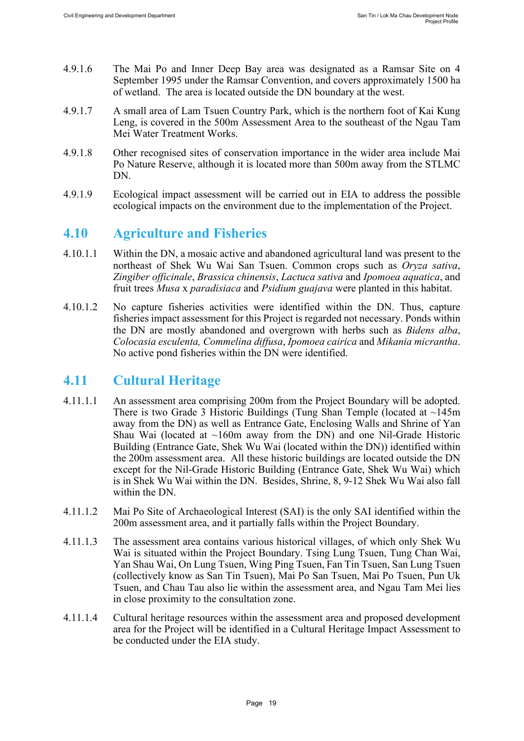- 4.9.1.6 The Mai Po and Inner Deep Bay area was designated as a Ramsar Site on 4 September 1995 under the Ramsar Convention, and covers approximately 1500 ha of wetland. The area is located outside the DN boundary at the west.
- 4.9.1.7 A small area of Lam Tsuen Country Park, which is the northern foot of Kai Kung Leng, is covered in the 500m Assessment Area to the southeast of the Ngau Tam Mei Water Treatment Works.
- 4.9.1.8 Other recognised sites of conservation importance in the wider area include Mai Po Nature Reserve, although it is located more than 500m away from the STLMC DN.
- 4.9.1.9 Ecological impact assessment will be carried out in EIA to address the possible ecological impacts on the environment due to the implementation of the Project.

## <span id="page-19-0"></span>**4.10 Agriculture and Fisheries**

- 4.10.1.1 Within the DN, a mosaic active and abandoned agricultural land was present to the northeast of Shek Wu Wai San Tsuen. Common crops such as *Oryza sativa*, *Zingiber officinale*, *Brassica chinensis*, *Lactuca sativa* and *Ipomoea aquatica*, and fruit trees *Musa* x *paradisiaca* and *Psidium guajava* were planted in this habitat.
- 4.10.1.2 No capture fisheries activities were identified within the DN. Thus, capture fisheries impact assessment for this Project is regarded not necessary. Ponds within the DN are mostly abandoned and overgrown with herbs such as *Bidens alba*, *Colocasia esculenta, Commelina diffusa*, *Ipomoea cairica* and *Mikania micrantha*. No active pond fisheries within the DN were identified.

### <span id="page-19-1"></span>**4.11 Cultural Heritage**

- 4.11.1.1 An assessment area comprising 200m from the Project Boundary will be adopted. There is two Grade 3 Historic Buildings (Tung Shan Temple (located at  $\sim$ 145m) away from the DN) as well as Entrance Gate, Enclosing Walls and Shrine of Yan Shau Wai (located at  $\sim$ 160m away from the DN) and one Nil-Grade Historic Building (Entrance Gate, Shek Wu Wai (located within the DN)) identified within the 200m assessment area. All these historic buildings are located outside the DN except for the Nil-Grade Historic Building (Entrance Gate, Shek Wu Wai) which is in Shek Wu Wai within the DN. Besides, Shrine, 8, 9-12 Shek Wu Wai also fall within the DN.
- 4.11.1.2 Mai Po Site of Archaeological Interest (SAI) is the only SAI identified within the 200m assessment area, and it partially falls within the Project Boundary.
- 4.11.1.3 The assessment area contains various historical villages, of which only Shek Wu Wai is situated within the Project Boundary. Tsing Lung Tsuen, Tung Chan Wai, Yan Shau Wai, On Lung Tsuen, Wing Ping Tsuen, Fan Tin Tsuen, San Lung Tsuen (collectively know as San Tin Tsuen), Mai Po San Tsuen, Mai Po Tsuen, Pun Uk Tsuen, and Chau Tau also lie within the assessment area, and Ngau Tam Mei lies in close proximity to the consultation zone.
- 4.11.1.4 Cultural heritage resources within the assessment area and proposed development area for the Project will be identified in a Cultural Heritage Impact Assessment to be conducted under the EIA study.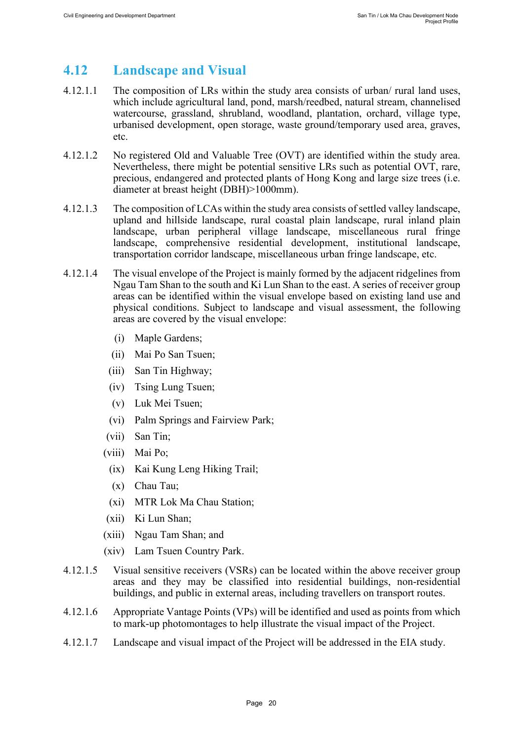## <span id="page-20-0"></span>**4.12 Landscape and Visual**

- 4.12.1.1 The composition of LRs within the study area consists of urban/ rural land uses, which include agricultural land, pond, marsh/reedbed, natural stream, channelised watercourse, grassland, shrubland, woodland, plantation, orchard, village type, urbanised development, open storage, waste ground/temporary used area, graves, etc.
- 4.12.1.2 No registered Old and Valuable Tree (OVT) are identified within the study area. Nevertheless, there might be potential sensitive LRs such as potential OVT, rare, precious, endangered and protected plants of Hong Kong and large size trees (i.e. diameter at breast height (DBH)>1000mm).
- 4.12.1.3 The composition of LCAs within the study area consists of settled valley landscape, upland and hillside landscape, rural coastal plain landscape, rural inland plain landscape, urban peripheral village landscape, miscellaneous rural fringe landscape, comprehensive residential development, institutional landscape, transportation corridor landscape, miscellaneous urban fringe landscape, etc.
- 4.12.1.4 The visual envelope of the Project is mainly formed by the adjacent ridgelines from Ngau Tam Shan to the south and Ki Lun Shan to the east. A series of receiver group areas can be identified within the visual envelope based on existing land use and physical conditions. Subject to landscape and visual assessment, the following areas are covered by the visual envelope:
	- (i) Maple Gardens;
	- (ii) Mai Po San Tsuen;
	- (iii) San Tin Highway;
	- (iv) Tsing Lung Tsuen;
	- (v) Luk Mei Tsuen;
	- (vi) Palm Springs and Fairview Park;
	- (vii) San Tin;
	- (viii) Mai Po;
	- (ix) Kai Kung Leng Hiking Trail;
	- (x) Chau Tau;
	- (xi) MTR Lok Ma Chau Station;
	- (xii) Ki Lun Shan;
	- (xiii) Ngau Tam Shan; and
	- (xiv) Lam Tsuen Country Park.
- 4.12.1.5 Visual sensitive receivers (VSRs) can be located within the above receiver group areas and they may be classified into residential buildings, non-residential buildings, and public in external areas, including travellers on transport routes.
- 4.12.1.6 Appropriate Vantage Points (VPs) will be identified and used as points from which to mark-up photomontages to help illustrate the visual impact of the Project.
- 4.12.1.7 Landscape and visual impact of the Project will be addressed in the EIA study.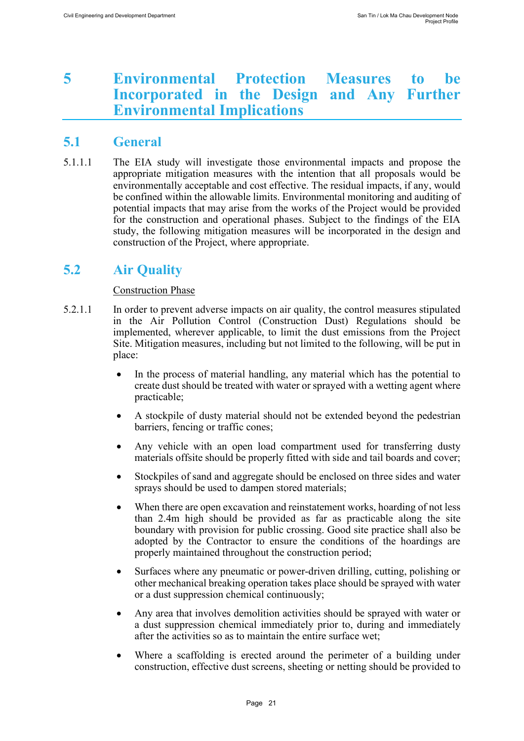## <span id="page-21-0"></span>**5 Environmental Protection Measures to be Incorporated in the Design and Any Further Environmental Implications**

## <span id="page-21-1"></span>**5.1 General**

5.1.1.1 The EIA study will investigate those environmental impacts and propose the appropriate mitigation measures with the intention that all proposals would be environmentally acceptable and cost effective. The residual impacts, if any, would be confined within the allowable limits. Environmental monitoring and auditing of potential impacts that may arise from the works of the Project would be provided for the construction and operational phases. Subject to the findings of the EIA study, the following mitigation measures will be incorporated in the design and construction of the Project, where appropriate.

## <span id="page-21-2"></span>**5.2 Air Quality**

#### Construction Phase

- 5.2.1.1 In order to prevent adverse impacts on air quality, the control measures stipulated in the Air Pollution Control (Construction Dust) Regulations should be implemented, wherever applicable, to limit the dust emissions from the Project Site. Mitigation measures, including but not limited to the following, will be put in place:
	- In the process of material handling, any material which has the potential to create dust should be treated with water or sprayed with a wetting agent where practicable;
	- A stockpile of dusty material should not be extended beyond the pedestrian barriers, fencing or traffic cones;
	- Any vehicle with an open load compartment used for transferring dusty materials offsite should be properly fitted with side and tail boards and cover;
	- Stockpiles of sand and aggregate should be enclosed on three sides and water sprays should be used to dampen stored materials;
	- When there are open excavation and reinstatement works, hoarding of not less than 2.4m high should be provided as far as practicable along the site boundary with provision for public crossing. Good site practice shall also be adopted by the Contractor to ensure the conditions of the hoardings are properly maintained throughout the construction period;
	- Surfaces where any pneumatic or power-driven drilling, cutting, polishing or other mechanical breaking operation takes place should be sprayed with water or a dust suppression chemical continuously;
	- Any area that involves demolition activities should be sprayed with water or a dust suppression chemical immediately prior to, during and immediately after the activities so as to maintain the entire surface wet;
	- Where a scaffolding is erected around the perimeter of a building under construction, effective dust screens, sheeting or netting should be provided to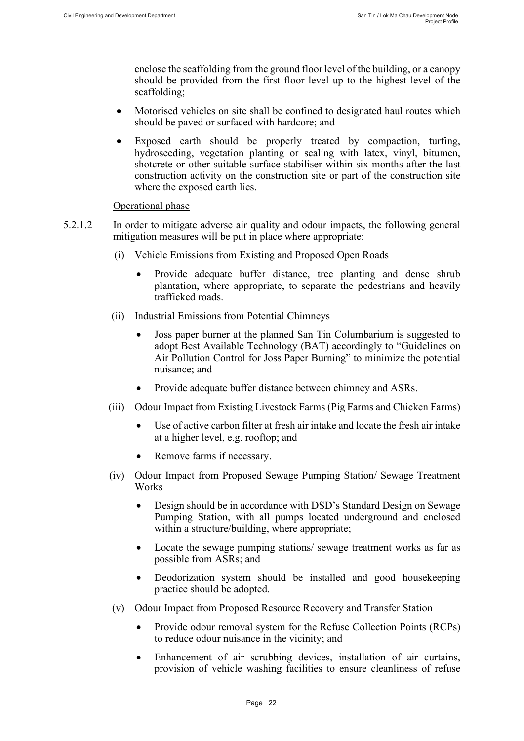enclose the scaffolding from the ground floor level of the building, or a canopy should be provided from the first floor level up to the highest level of the scaffolding;

- Motorised vehicles on site shall be confined to designated haul routes which should be paved or surfaced with hardcore; and
- Exposed earth should be properly treated by compaction, turfing, hydroseeding, vegetation planting or sealing with latex, vinyl, bitumen, shotcrete or other suitable surface stabiliser within six months after the last construction activity on the construction site or part of the construction site where the exposed earth lies.

#### Operational phase

- 5.2.1.2 In order to mitigate adverse air quality and odour impacts, the following general mitigation measures will be put in place where appropriate:
	- (i) Vehicle Emissions from Existing and Proposed Open Roads
		- Provide adequate buffer distance, tree planting and dense shrub plantation, where appropriate, to separate the pedestrians and heavily trafficked roads.
	- (ii) Industrial Emissions from Potential Chimneys
		- Joss paper burner at the planned San Tin Columbarium is suggested to adopt Best Available Technology (BAT) accordingly to "Guidelines on Air Pollution Control for Joss Paper Burning" to minimize the potential nuisance; and
		- Provide adequate buffer distance between chimney and ASRs.
	- (iii) Odour Impact from Existing Livestock Farms (Pig Farms and Chicken Farms)
		- Use of active carbon filter at fresh air intake and locate the fresh air intake at a higher level, e.g. rooftop; and
		- Remove farms if necessary.
	- (iv) Odour Impact from Proposed Sewage Pumping Station/ Sewage Treatment Works
		- Design should be in accordance with DSD's Standard Design on Sewage Pumping Station, with all pumps located underground and enclosed within a structure/building, where appropriate;
		- Locate the sewage pumping stations/ sewage treatment works as far as possible from ASRs; and
		- Deodorization system should be installed and good house keeping practice should be adopted.
	- (v) Odour Impact from Proposed Resource Recovery and Transfer Station
		- Provide odour removal system for the Refuse Collection Points (RCPs) to reduce odour nuisance in the vicinity; and
		- Enhancement of air scrubbing devices, installation of air curtains, provision of vehicle washing facilities to ensure cleanliness of refuse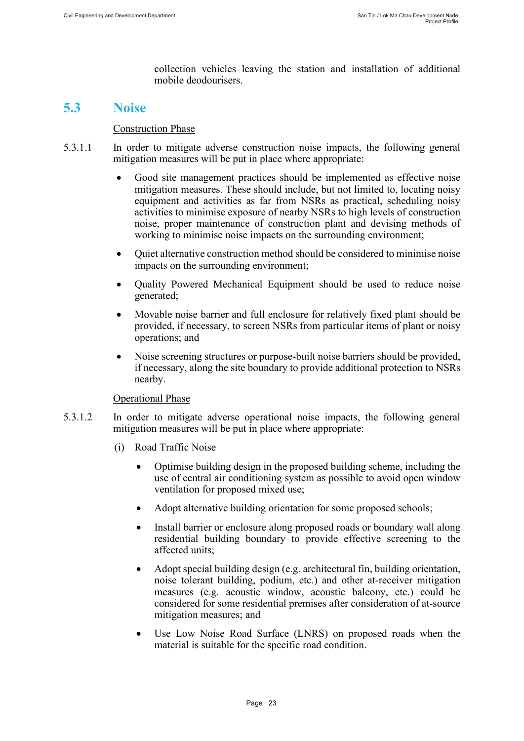collection vehicles leaving the station and installation of additional mobile deodourisers.

### <span id="page-23-0"></span>**5.3 Noise**

#### Construction Phase

- 5.3.1.1 In order to mitigate adverse construction noise impacts, the following general mitigation measures will be put in place where appropriate:
	- Good site management practices should be implemented as effective noise mitigation measures. These should include, but not limited to, locating noisy equipment and activities as far from NSRs as practical, scheduling noisy activities to minimise exposure of nearby NSRs to high levels of construction noise, proper maintenance of construction plant and devising methods of working to minimise noise impacts on the surrounding environment;
	- Quiet alternative construction method should be considered to minimise noise impacts on the surrounding environment;
	- Quality Powered Mechanical Equipment should be used to reduce noise generated;
	- Movable noise barrier and full enclosure for relatively fixed plant should be provided, if necessary, to screen NSRs from particular items of plant or noisy operations; and
	- Noise screening structures or purpose-built noise barriers should be provided, if necessary, along the site boundary to provide additional protection to NSRs nearby.

#### Operational Phase

- 5.3.1.2 In order to mitigate adverse operational noise impacts, the following general mitigation measures will be put in place where appropriate:
	- (i) Road Traffic Noise
		- Optimise building design in the proposed building scheme, including the use of central air conditioning system as possible to avoid open window ventilation for proposed mixed use;
		- Adopt alternative building orientation for some proposed schools;
		- Install barrier or enclosure along proposed roads or boundary wall along residential building boundary to provide effective screening to the affected units;
		- Adopt special building design (e.g. architectural fin, building orientation, noise tolerant building, podium, etc.) and other at-receiver mitigation measures (e.g. acoustic window, acoustic balcony, etc.) could be considered for some residential premises after consideration of at-source mitigation measures; and
		- Use Low Noise Road Surface (LNRS) on proposed roads when the material is suitable for the specific road condition.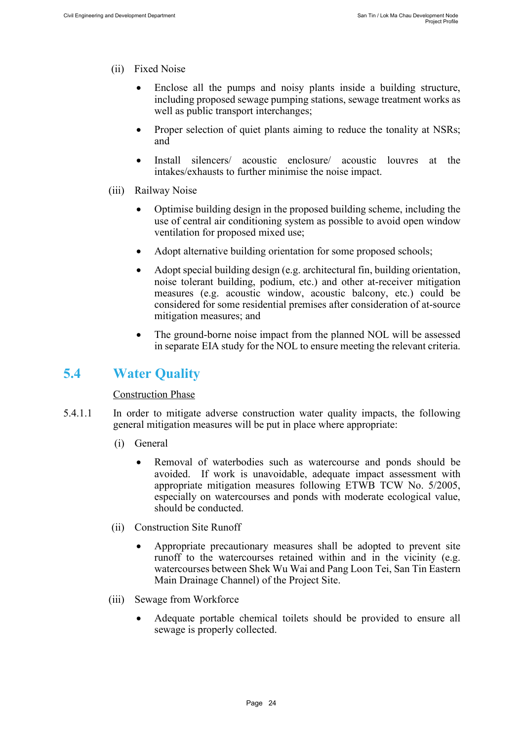- (ii) Fixed Noise
	- Enclose all the pumps and noisy plants inside a building structure, including proposed sewage pumping stations, sewage treatment works as well as public transport interchanges;
	- Proper selection of quiet plants aiming to reduce the tonality at NSRs; and
	- Install silencers/ acoustic enclosure/ acoustic louvres at the intakes/exhausts to further minimise the noise impact.
- (iii) Railway Noise
	- Optimise building design in the proposed building scheme, including the use of central air conditioning system as possible to avoid open window ventilation for proposed mixed use;
	- Adopt alternative building orientation for some proposed schools;
	- Adopt special building design (e.g. architectural fin, building orientation, noise tolerant building, podium, etc.) and other at-receiver mitigation measures (e.g. acoustic window, acoustic balcony, etc.) could be considered for some residential premises after consideration of at-source mitigation measures; and
	- The ground-borne noise impact from the planned NOL will be assessed in separate EIA study for the NOL to ensure meeting the relevant criteria.

## <span id="page-24-0"></span>**5.4 Water Quality**

#### Construction Phase

- 5.4.1.1 In order to mitigate adverse construction water quality impacts, the following general mitigation measures will be put in place where appropriate:
	- (i) General
		- Removal of waterbodies such as watercourse and ponds should be avoided. If work is unavoidable, adequate impact assessment with appropriate mitigation measures following ETWB TCW No. 5/2005, especially on watercourses and ponds with moderate ecological value, should be conducted.
	- (ii) Construction Site Runoff
		- Appropriate precautionary measures shall be adopted to prevent site runoff to the watercourses retained within and in the vicinity (e.g. watercourses between Shek Wu Wai and Pang Loon Tei, San Tin Eastern Main Drainage Channel) of the Project Site.
	- (iii) Sewage from Workforce
		- Adequate portable chemical toilets should be provided to ensure all sewage is properly collected.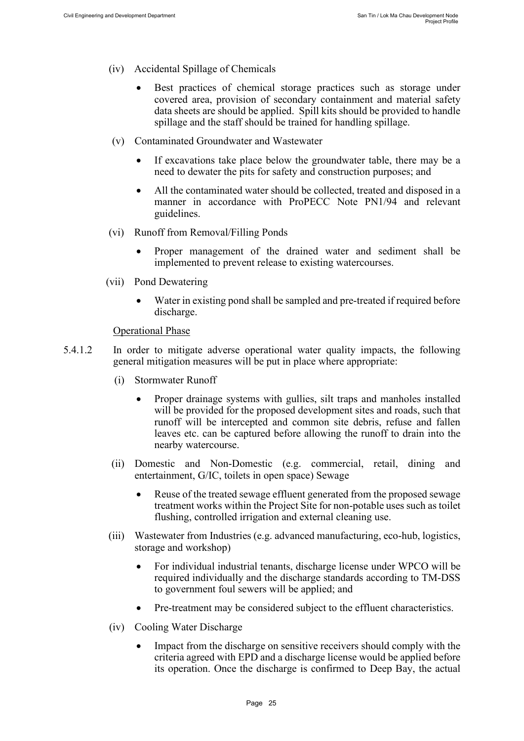- (iv) Accidental Spillage of Chemicals
	- Best practices of chemical storage practices such as storage under covered area, provision of secondary containment and material safety data sheets are should be applied. Spill kits should be provided to handle spillage and the staff should be trained for handling spillage.
- (v) Contaminated Groundwater and Wastewater
	- If excavations take place below the groundwater table, there may be a need to dewater the pits for safety and construction purposes; and
	- All the contaminated water should be collected, treated and disposed in a manner in accordance with ProPECC Note PN1/94 and relevant guidelines.
- (vi) Runoff from Removal/Filling Ponds
	- Proper management of the drained water and sediment shall be implemented to prevent release to existing watercourses.
- (vii) Pond Dewatering
	- Water in existing pond shall be sampled and pre-treated if required before discharge.

Operational Phase

- 5.4.1.2 In order to mitigate adverse operational water quality impacts, the following general mitigation measures will be put in place where appropriate:
	- (i) Stormwater Runoff
		- Proper drainage systems with gullies, silt traps and manholes installed will be provided for the proposed development sites and roads, such that runoff will be intercepted and common site debris, refuse and fallen leaves etc. can be captured before allowing the runoff to drain into the nearby watercourse.
	- (ii) Domestic and Non-Domestic (e.g. commercial, retail, dining and entertainment, G/IC, toilets in open space) Sewage
		- Reuse of the treated sewage effluent generated from the proposed sewage treatment works within the Project Site for non-potable uses such as toilet flushing, controlled irrigation and external cleaning use.
	- (iii) Wastewater from Industries (e.g. advanced manufacturing, eco-hub, logistics, storage and workshop)
		- For individual industrial tenants, discharge license under WPCO will be required individually and the discharge standards according to TM-DSS to government foul sewers will be applied; and
		- Pre-treatment may be considered subject to the effluent characteristics.
	- (iv) Cooling Water Discharge
		- Impact from the discharge on sensitive receivers should comply with the criteria agreed with EPD and a discharge license would be applied before its operation. Once the discharge is confirmed to Deep Bay, the actual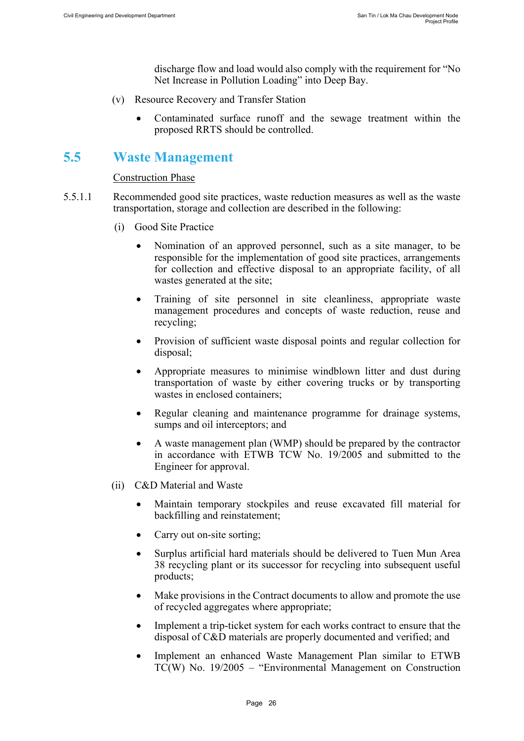discharge flow and load would also comply with the requirement for "No Net Increase in Pollution Loading" into Deep Bay.

- (v) Resource Recovery and Transfer Station
	- Contaminated surface runoff and the sewage treatment within the proposed RRTS should be controlled.

### <span id="page-26-0"></span>**5.5 Waste Management**

#### Construction Phase

- 5.5.1.1 Recommended good site practices, waste reduction measures as well as the waste transportation, storage and collection are described in the following:
	- (i) Good Site Practice
		- Nomination of an approved personnel, such as a site manager, to be responsible for the implementation of good site practices, arrangements for collection and effective disposal to an appropriate facility, of all wastes generated at the site;
		- Training of site personnel in site cleanliness, appropriate waste management procedures and concepts of waste reduction, reuse and recycling;
		- Provision of sufficient waste disposal points and regular collection for disposal;
		- Appropriate measures to minimise windblown litter and dust during transportation of waste by either covering trucks or by transporting wastes in enclosed containers;
		- Regular cleaning and maintenance programme for drainage systems, sumps and oil interceptors; and
		- A waste management plan (WMP) should be prepared by the contractor in accordance with ETWB TCW No. 19/2005 and submitted to the Engineer for approval.
	- (ii) C&D Material and Waste
		- Maintain temporary stockpiles and reuse excavated fill material for backfilling and reinstatement;
		- Carry out on-site sorting;
		- Surplus artificial hard materials should be delivered to Tuen Mun Area 38 recycling plant or its successor for recycling into subsequent useful products;
		- Make provisions in the Contract documents to allow and promote the use of recycled aggregates where appropriate;
		- Implement a trip-ticket system for each works contract to ensure that the disposal of C&D materials are properly documented and verified; and
		- Implement an enhanced Waste Management Plan similar to ETWB TC(W) No. 19/2005 – "Environmental Management on Construction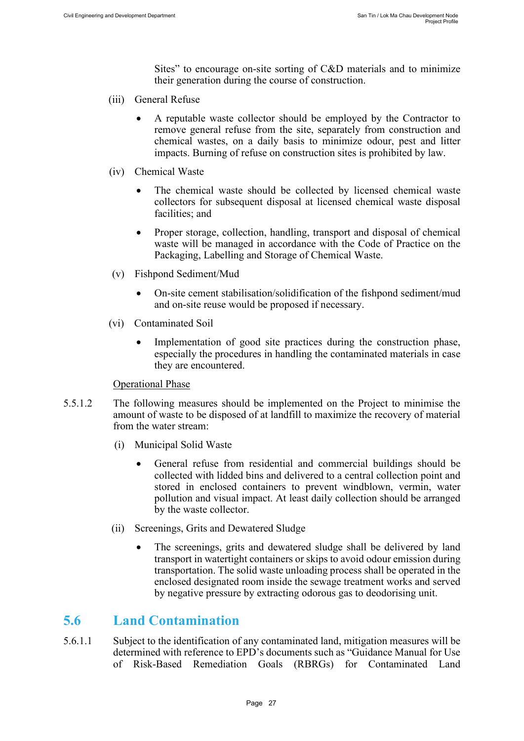Sites" to encourage on-site sorting of C&D materials and to minimize their generation during the course of construction.

- (iii) General Refuse
	- A reputable waste collector should be employed by the Contractor to remove general refuse from the site, separately from construction and chemical wastes, on a daily basis to minimize odour, pest and litter impacts. Burning of refuse on construction sites is prohibited by law.
- (iv) Chemical Waste
	- The chemical waste should be collected by licensed chemical waste collectors for subsequent disposal at licensed chemical waste disposal facilities; and
	- Proper storage, collection, handling, transport and disposal of chemical waste will be managed in accordance with the Code of Practice on the Packaging, Labelling and Storage of Chemical Waste.
- (v) Fishpond Sediment/Mud
	- On-site cement stabilisation/solidification of the fishpond sediment/mud and on-site reuse would be proposed if necessary.
- (vi) Contaminated Soil
	- Implementation of good site practices during the construction phase, especially the procedures in handling the contaminated materials in case they are encountered.

#### Operational Phase

- 5.5.1.2 The following measures should be implemented on the Project to minimise the amount of waste to be disposed of at landfill to maximize the recovery of material from the water stream:
	- (i) Municipal Solid Waste
		- General refuse from residential and commercial buildings should be collected with lidded bins and delivered to a central collection point and stored in enclosed containers to prevent windblown, vermin, water pollution and visual impact. At least daily collection should be arranged by the waste collector.
	- (ii) Screenings, Grits and Dewatered Sludge
		- The screenings, grits and dewatered sludge shall be delivered by land transport in watertight containers or skips to avoid odour emission during transportation. The solid waste unloading process shall be operated in the enclosed designated room inside the sewage treatment works and served by negative pressure by extracting odorous gas to deodorising unit.

#### <span id="page-27-0"></span>**5.6 Land Contamination**

5.6.1.1 Subject to the identification of any contaminated land, mitigation measures will be determined with reference to EPD's documents such as "Guidance Manual for Use of Risk-Based Remediation Goals (RBRGs) for Contaminated Land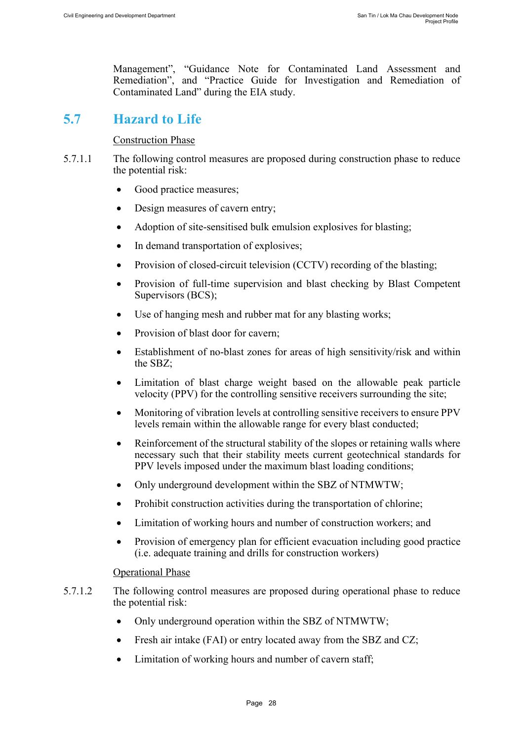Management", "Guidance Note for Contaminated Land Assessment and Remediation", and "Practice Guide for Investigation and Remediation of Contaminated Land" during the EIA study.

### <span id="page-28-0"></span>**5.7 Hazard to Life**

#### Construction Phase

- 5.7.1.1 The following control measures are proposed during construction phase to reduce the potential risk:
	- Good practice measures;
	- Design measures of cavern entry;
	- Adoption of site-sensitised bulk emulsion explosives for blasting;
	- In demand transportation of explosives;
	- Provision of closed-circuit television (CCTV) recording of the blasting;
	- Provision of full-time supervision and blast checking by Blast Competent Supervisors (BCS);
	- Use of hanging mesh and rubber mat for any blasting works;
	- Provision of blast door for cavern;
	- Establishment of no-blast zones for areas of high sensitivity/risk and within the SBZ;
	- Limitation of blast charge weight based on the allowable peak particle velocity (PPV) for the controlling sensitive receivers surrounding the site;
	- Monitoring of vibration levels at controlling sensitive receivers to ensure PPV levels remain within the allowable range for every blast conducted;
	- Reinforcement of the structural stability of the slopes or retaining walls where necessary such that their stability meets current geotechnical standards for PPV levels imposed under the maximum blast loading conditions;
	- Only underground development within the SBZ of NTMWTW;
	- Prohibit construction activities during the transportation of chlorine;
	- Limitation of working hours and number of construction workers; and
	- Provision of emergency plan for efficient evacuation including good practice (i.e. adequate training and drills for construction workers)

#### Operational Phase

- 5.7.1.2 The following control measures are proposed during operational phase to reduce the potential risk:
	- Only underground operation within the SBZ of NTMWTW;
	- Fresh air intake (FAI) or entry located away from the SBZ and CZ;
	- Limitation of working hours and number of cavern staff;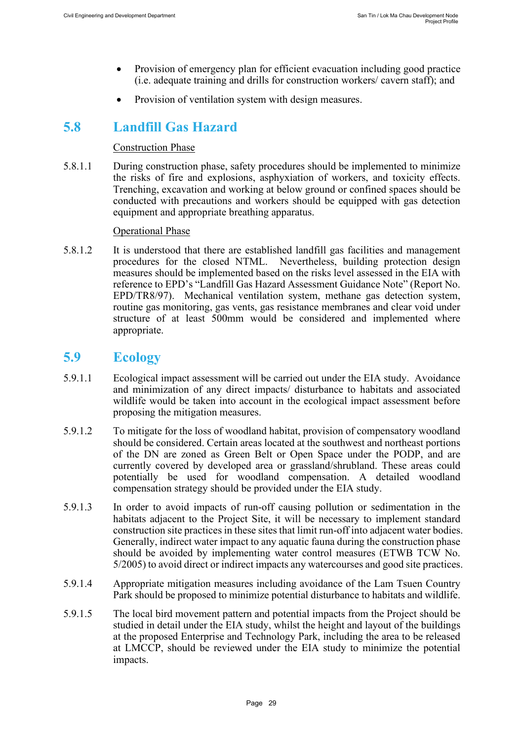- Provision of emergency plan for efficient evacuation including good practice (i.e. adequate training and drills for construction workers/ cavern staff); and
- Provision of ventilation system with design measures.

### <span id="page-29-0"></span>**5.8 Landfill Gas Hazard**

#### Construction Phase

5.8.1.1 During construction phase, safety procedures should be implemented to minimize the risks of fire and explosions, asphyxiation of workers, and toxicity effects. Trenching, excavation and working at below ground or confined spaces should be conducted with precautions and workers should be equipped with gas detection equipment and appropriate breathing apparatus.

#### Operational Phase

5.8.1.2 It is understood that there are established landfill gas facilities and management procedures for the closed NTML. Nevertheless, building protection design measures should be implemented based on the risks level assessed in the EIA with reference to EPD's "Landfill Gas Hazard Assessment Guidance Note" (Report No. EPD/TR8/97). Mechanical ventilation system, methane gas detection system, routine gas monitoring, gas vents, gas resistance membranes and clear void under structure of at least 500mm would be considered and implemented where appropriate.

### <span id="page-29-1"></span>**5.9 Ecology**

- 5.9.1.1 Ecological impact assessment will be carried out under the EIA study. Avoidance and minimization of any direct impacts/ disturbance to habitats and associated wildlife would be taken into account in the ecological impact assessment before proposing the mitigation measures.
- 5.9.1.2 To mitigate for the loss of woodland habitat, provision of compensatory woodland should be considered. Certain areas located at the southwest and northeast portions of the DN are zoned as Green Belt or Open Space under the PODP, and are currently covered by developed area or grassland/shrubland. These areas could potentially be used for woodland compensation. A detailed woodland compensation strategy should be provided under the EIA study.
- 5.9.1.3 In order to avoid impacts of run-off causing pollution or sedimentation in the habitats adjacent to the Project Site, it will be necessary to implement standard construction site practices in these sites that limit run-off into adjacent water bodies. Generally, indirect water impact to any aquatic fauna during the construction phase should be avoided by implementing water control measures (ETWB TCW No. 5/2005) to avoid direct or indirect impacts any watercourses and good site practices.
- 5.9.1.4 Appropriate mitigation measures including avoidance of the Lam Tsuen Country Park should be proposed to minimize potential disturbance to habitats and wildlife.
- 5.9.1.5 The local bird movement pattern and potential impacts from the Project should be studied in detail under the EIA study, whilst the height and layout of the buildings at the proposed Enterprise and Technology Park, including the area to be released at LMCCP, should be reviewed under the EIA study to minimize the potential impacts.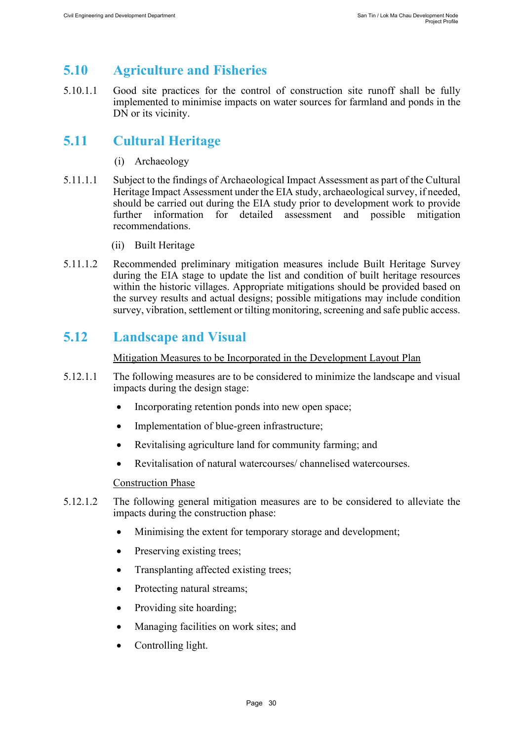# <span id="page-30-0"></span>**5.10 Agriculture and Fisheries**

5.10.1.1 Good site practices for the control of construction site runoff shall be fully implemented to minimise impacts on water sources for farmland and ponds in the DN or its vicinity.

## <span id="page-30-1"></span>**5.11 Cultural Heritage**

- (i) Archaeology
- 5.11.1.1 Subject to the findings of Archaeological Impact Assessment as part of the Cultural Heritage Impact Assessment under the EIA study, archaeological survey, if needed, should be carried out during the EIA study prior to development work to provide further information for detailed assessment and possible mitigation recommendations.
	- (ii) Built Heritage
- 5.11.1.2 Recommended preliminary mitigation measures include Built Heritage Survey during the EIA stage to update the list and condition of built heritage resources within the historic villages. Appropriate mitigations should be provided based on the survey results and actual designs; possible mitigations may include condition survey, vibration, settlement or tilting monitoring, screening and safe public access.

## <span id="page-30-2"></span>**5.12 Landscape and Visual**

Mitigation Measures to be Incorporated in the Development Layout Plan

- 5.12.1.1 The following measures are to be considered to minimize the landscape and visual impacts during the design stage:
	- Incorporating retention ponds into new open space;
	- Implementation of blue-green infrastructure;
	- Revitalising agriculture land for community farming; and
	- Revitalisation of natural watercourses/ channelised watercourses.

#### Construction Phase

- 5.12.1.2 The following general mitigation measures are to be considered to alleviate the impacts during the construction phase:
	- Minimising the extent for temporary storage and development;
	- Preserving existing trees;
	- Transplanting affected existing trees;
	- Protecting natural streams;
	- Providing site hoarding;
	- Managing facilities on work sites; and
	- Controlling light.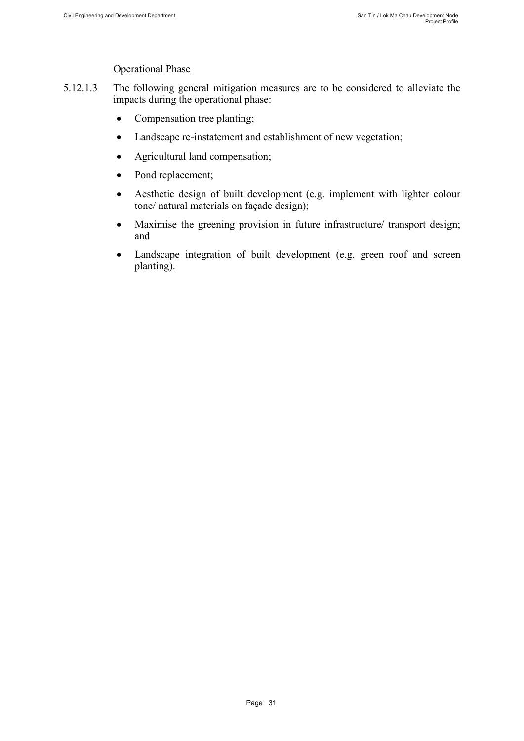#### Operational Phase

- 5.12.1.3 The following general mitigation measures are to be considered to alleviate the impacts during the operational phase:
	- Compensation tree planting;
	- Landscape re-instatement and establishment of new vegetation;
	- Agricultural land compensation;
	- Pond replacement;
	- Aesthetic design of built development (e.g. implement with lighter colour tone/ natural materials on façade design);
	- Maximise the greening provision in future infrastructure/ transport design; and
	- Landscape integration of built development (e.g. green roof and screen planting).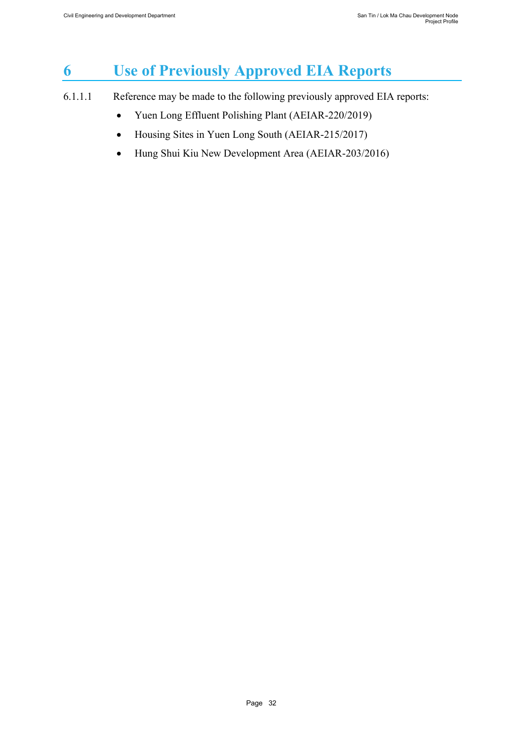# <span id="page-32-0"></span>**6 Use of Previously Approved EIA Reports**

- 6.1.1.1 Reference may be made to the following previously approved EIA reports:
	- Yuen Long Effluent Polishing Plant (AEIAR-220/2019)
	- Housing Sites in Yuen Long South (AEIAR-215/2017)
	- Hung Shui Kiu New Development Area (AEIAR-203/2016)